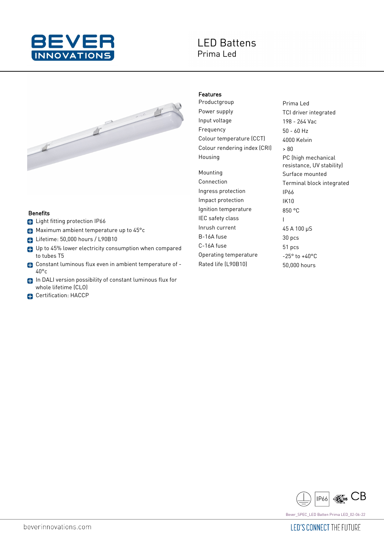

## **LED Battens** Prima Led



## **Benefits**

- **C** Light fitting protection IP66
- **Maximum ambient temperature up to 45°c**
- Lifetime: 50,000 hours / L90B10
- Up to 45% lower electricity consumption when compared to tubes T5
- Constant luminous flux even in ambient temperature of 40°c
- In DALI version possibility of constant luminous flux for whole lifetime (CLO)
- **C**ertification: HACCP

## Features

Productgroup Prima Led Power supply TCI driver integrated Input voltage 198 - 264 Vac Frequency 50 - 60 Hz Colour temperature (CCT) 4000 Kelvin Colour rendering index  $|CR|$   $\rightarrow$   $80$ Housing **PC** (high mechanical

Mounting **Surface mounted** Ingress protection IP66 Impact protection IK10 Ignition temperature 850 °C IEC safety class I Inrush current 45 A 100 µS B-16A fuse 30 pcs C-16A fuse 51 pcs Operating temperature -25° to +40°C Rated life (L90B10) 50,000 hours

resistance, UV stability) Connection Terminal block integrated



Bever\_SPEC\_LED Batten Prima LED\_02-06-22